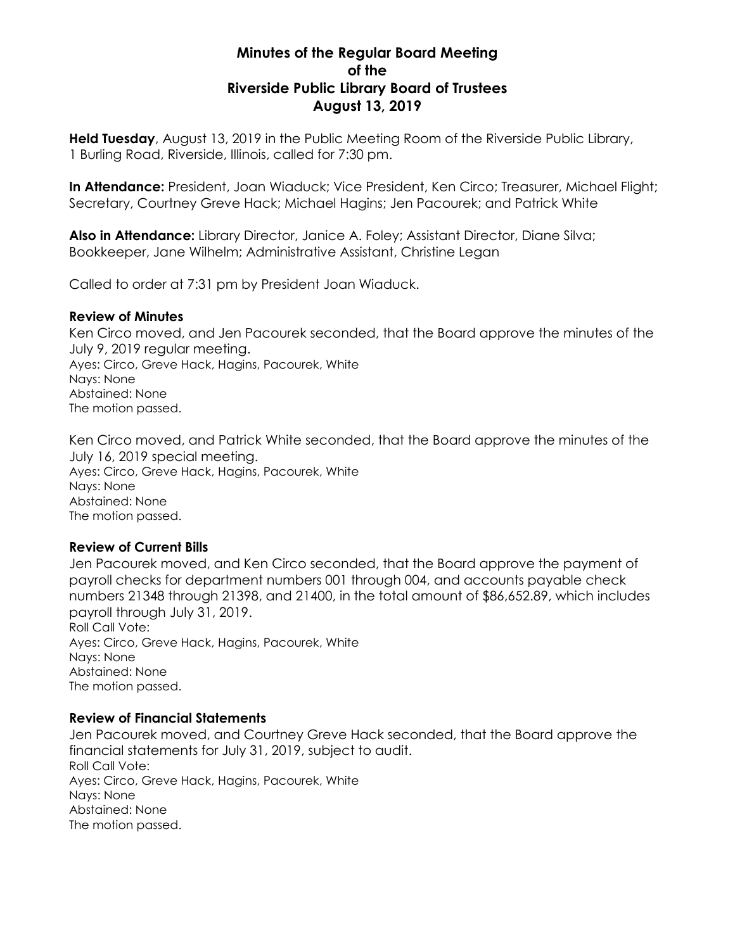# **Minutes of the Regular Board Meeting of the Riverside Public Library Board of Trustees August 13, 2019**

**Held Tuesday**, August 13, 2019 in the Public Meeting Room of the Riverside Public Library, 1 Burling Road, Riverside, Illinois, called for 7:30 pm.

**In Attendance:** President, Joan Wiaduck; Vice President, Ken Circo; Treasurer, Michael Flight; Secretary, Courtney Greve Hack; Michael Hagins; Jen Pacourek; and Patrick White

**Also in Attendance:** Library Director, Janice A. Foley; Assistant Director, Diane Silva; Bookkeeper, Jane Wilhelm; Administrative Assistant, Christine Legan

Called to order at 7:31 pm by President Joan Wiaduck.

#### **Review of Minutes**

Ken Circo moved, and Jen Pacourek seconded, that the Board approve the minutes of the July 9, 2019 regular meeting. Ayes: Circo, Greve Hack, Hagins, Pacourek, White Nays: None Abstained: None The motion passed.

Ken Circo moved, and Patrick White seconded, that the Board approve the minutes of the July 16, 2019 special meeting. Ayes: Circo, Greve Hack, Hagins, Pacourek, White Nays: None Abstained: None The motion passed.

# **Review of Current Bills**

Jen Pacourek moved, and Ken Circo seconded, that the Board approve the payment of payroll checks for department numbers 001 through 004, and accounts payable check numbers 21348 through 21398, and 21400, in the total amount of \$86,652.89, which includes payroll through July 31, 2019. Roll Call Vote: Ayes: Circo, Greve Hack, Hagins, Pacourek, White Nays: None Abstained: None The motion passed.

#### **Review of Financial Statements**

Jen Pacourek moved, and Courtney Greve Hack seconded, that the Board approve the financial statements for July 31, 2019, subject to audit. Roll Call Vote: Ayes: Circo, Greve Hack, Hagins, Pacourek, White Nays: None Abstained: None The motion passed.